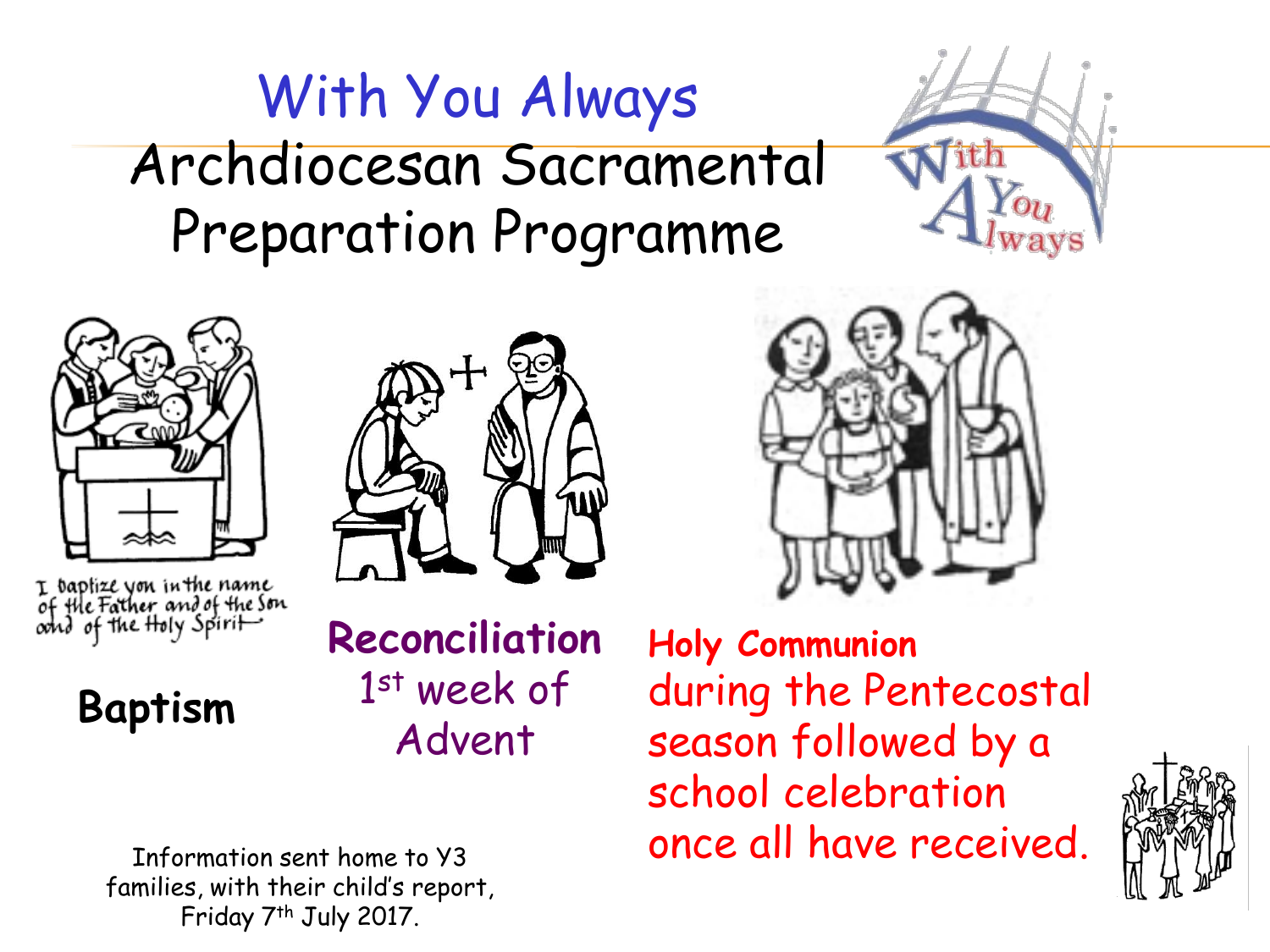# With You Always Archdiocesan Sacramental Preparation Programme





I baptize you in the name<br>of the Father and of the Son<br>oond of the Holy Spirit



**Reconciliation** 1 st week of Advent



**Holy Communion** during the Pentecostal season followed by a school celebration Information sent home to Y3 **ONCE all have received.** 



families, with their child's report, Friday 7th July 2017.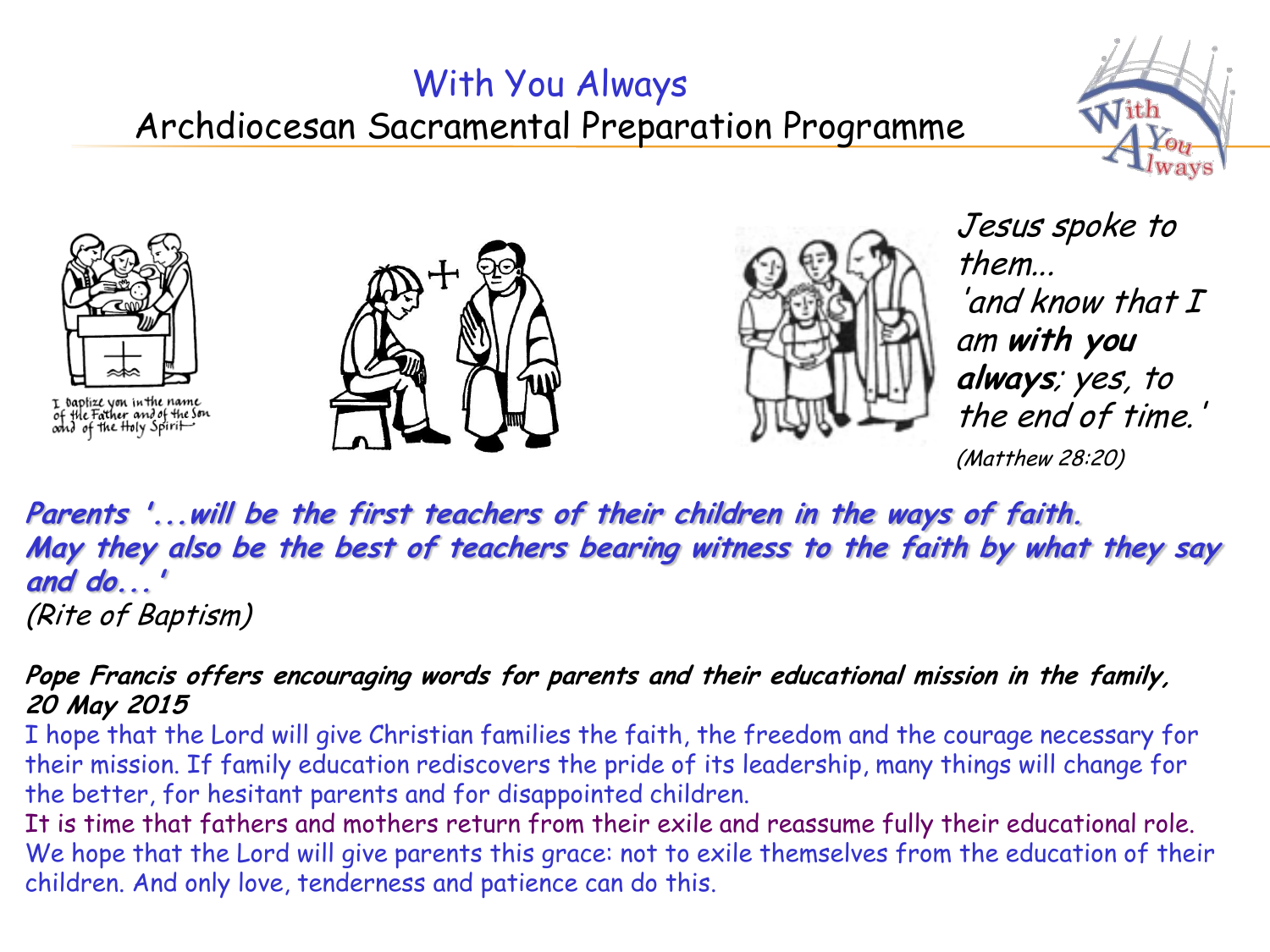### With You Always Archdiocesan Sacramental Preparation Programme





I baptize you in the name<br>of the Father and of the Son<br>oond of the Holy Spirit





Jesus spoke to them...  $'$ and know that  $I$ am **with you always**; yes, to the end of time.'

(Matthew 28:20)

**Parents '...will be the first teachers of their children in the ways of faith. May they also be the best of teachers bearing witness to the faith by what they say and do...'**  (Rite of Baptism)

#### **Pope Francis offers encouraging words for parents and their educational mission in the family, 20 May 2015**

I hope that the Lord will give Christian families the faith, the freedom and the courage necessary for their mission. If family education rediscovers the pride of its leadership, many things will change for the better, for hesitant parents and for disappointed children.

It is time that fathers and mothers return from their exile and reassume fully their educational role. We hope that the Lord will give parents this grace: not to exile themselves from the education of their children. And only love, tenderness and patience can do this.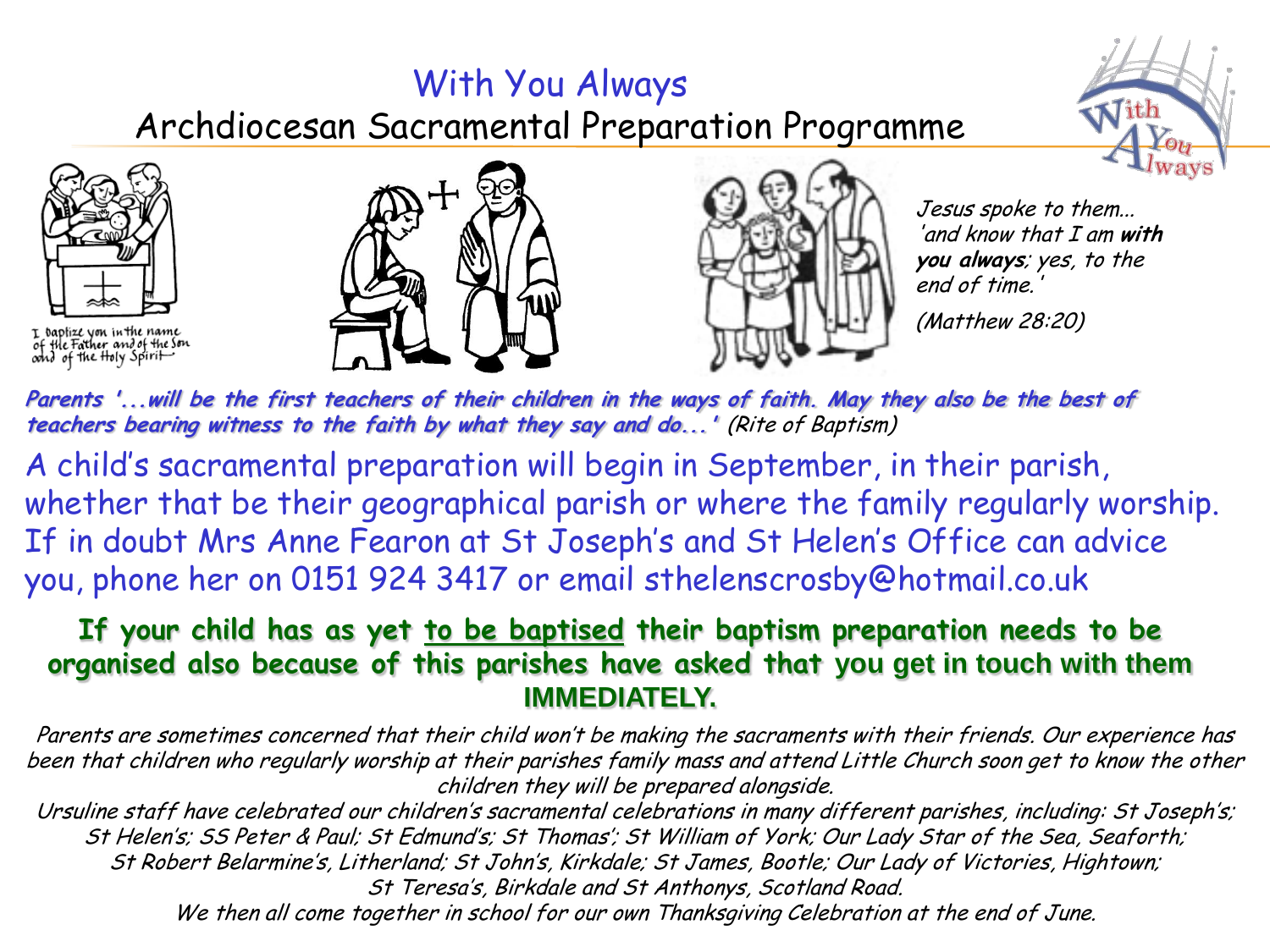### With You Always Archdiocesan Sacramental Preparation Programme





I baptize yon in the name<br>of the Father and of the Son<br>oond of the Holy Spirit





Jesus spoke to them... 'and know that I am **with you always**; yes, to the end of time.'

(Matthew 28:20)

**Parents '...will be the first teachers of their children in the ways of faith. May they also be the best of teachers bearing witness to the faith by what they say and do...'** (Rite of Baptism)

A child's sacramental preparation will begin in September, in their parish, whether that be their geographical parish or where the family regularly worship. If in doubt Mrs Anne Fearon at St Joseph's and St Helen's Office can advice you, phone her on 0151 924 3417 or email sthelenscrosby@hotmail.co.uk

#### **If your child has as yet to be baptised their baptism preparation needs to be organised also because of this parishes have asked that you get in touch with them IMMEDIATELY.**

Parents are sometimes concerned that their child won't be making the sacraments with their friends. Our experience has been that children who regularly worship at their parishes family mass and attend Little Church soon get to know the other children they will be prepared alongside.

Ursuline staff have celebrated our children's sacramental celebrations in many different parishes, including: St Joseph's; St Helen's; SS Peter & Paul; St Edmund's; St Thomas'; St William of York; Our Lady Star of the Sea, Seaforth; St Robert Belarmine's, Litherland; St John's, Kirkdale; St James, Bootle; Our Lady of Victories, Hightown; St Teresa's, Birkdale and St Anthonys, Scotland Road. We then all come together in school for our own Thanksgiving Celebration at the end of June.